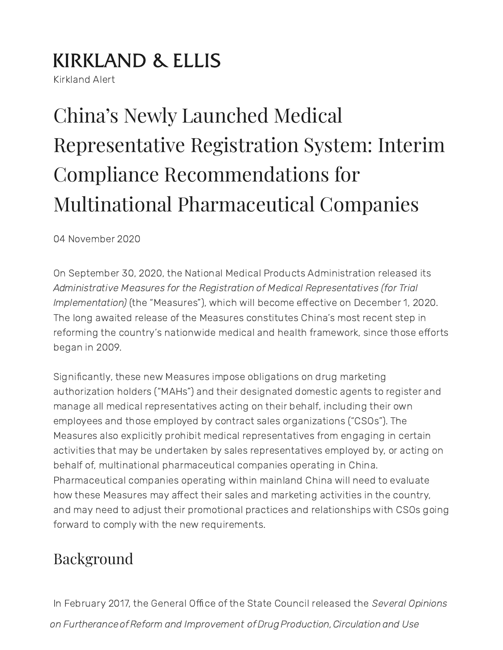## **KIRKLAND & ELLIS**

Kirkland Alert

# China's Newly Launched Medical Representative Registration System: Interim Compliance Recommendations for Multinational Pharmaceutical Companies

04 November 2020

On September 30, 2020, the National Medical Products Administration released its Administrative Measures for the Registration of Medical Representatives (for Trial Implementation) (the "Measures"), which will become effective on December 1, 2020. The long awaited release of the Measures constitutes China's most recent step in reforming the country's nationwide medical and health framework, since those efforts began in 2009.

Significantly, these new Measures impose obligations on drug marketing authorization holders ("MAHs") and their designated domestic agents to register and manage all medical representatives acting on their behalf, including their own employees and those employed by contract sales organizations ("CSOs"). The Measures also explicitly prohibit medical representatives from engaging in certain activities that may be undertaken by sales representatives employed by, or acting on behalf of, multinational pharmaceutical companies operating in China. Pharmaceutical companies operating within mainland China will need to evaluate how these Measures may affect their sales and marketing activities in the country, and may need to adjust their promotional practices and relationships with CSOs going forward to comply with the new requirements.

### Background

In February 2017, the General Office of the State Council released the Several Opinions on Furtherance of Reform and Improvement of Drug Production, Circulation and Use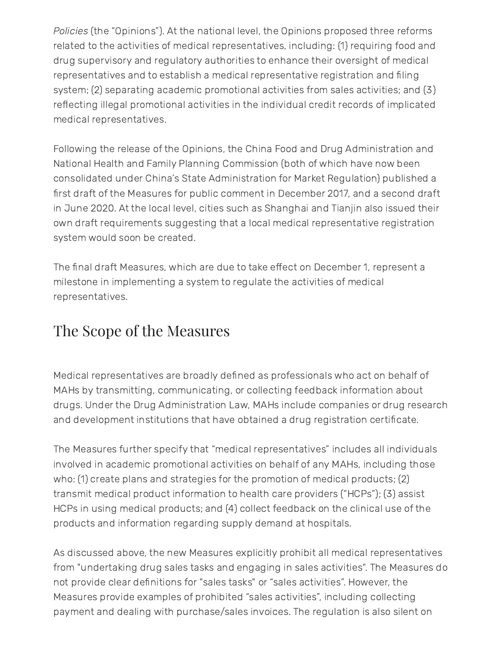Policies (the "Opinions"). At the national level, the Opinions proposed three reforms related to the activities of medical representatives, including: (1) requiring food and drug supervisory and regulatory authorities to enhance their oversight of medical representatives and to establish a medical representative registration and filing system; (2) separating academic promotional activities from sales activities; and (3) reflecting illegal promotional activities in the individual credit records of implicated medical representatives.

Following the release of the Opinions, the China Food and Drug Administration and National Health and Family Planning Commission (both of which have now been consolidated under China's State Administration for Market Regulation) published a first draft of the Measures for public comment in December 2017, and a second draft in June 2020. At the local level, cities such as Shanghai and Tianjin also issued their own draft requirements suggesting that a local medical representative registration system would soon be created.

The final draft Measures, which are due to take effect on December 1, represent a milestone in implementing a system to regulate the activities of medical representatives.

#### The Scope of the Measures

Medical representatives are broadly defined as professionals who act on behalf of MAHs by transmitting, communicating, or collecting feedback information about drugs. Under the Drug Administration Law, MAHs include companies or drug research and development institutions that have obtained a drug registration certificate.

The Measures further specify that "medical representatives" includes all individuals involved in academic promotional activities on behalf of any MAHs, including those who: (1) create plans and strategies for the promotion of medical products; (2) transmit medical product information to health care providers ("HCPs"); (3) assist HCPs in using medical products; and (4) collect feedback on the clinical use of the products and information regarding supply demand at hospitals.

As discussed above, the new Measures explicitly prohibit all medical representatives from "undertaking drug sales tasks and engaging in sales activities". The Measures do not provide clear definitions for "sales tasks" or "sales activities". However, the Measures provide examples of prohibited "sales activities", including collecting payment and dealing with purchase/sales invoices. The regulation is also silent on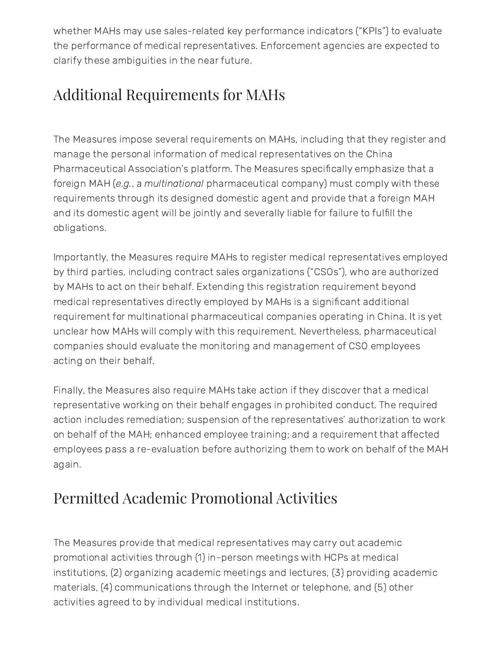whether MAHs may use sales-related key performance indicators ("KPIs") to evaluate the performance of medical representatives. Enforcement agencies are expected to clarify these ambiguities in the near future.

### Additional Requirements for MAHs

The Measures impose several requirements on MAHs, including that they register and manage the personal information of medical representatives on the China Pharmaceutical Association's platform. The Measures specifically emphasize that a foreign MAH (e.g., a multinational pharmaceutical company) must comply with these requirements through its designed domestic agent and provide that a foreign MAH and its domestic agent will be jointly and severally liable for failure to fulfill the obligations.

Importantly, the Measures require MAHs to register medical representatives employed by third parties, including contract sales organizations ("CSOs"), who are authorized by MAHs to act on their behalf. Extending this registration requirement beyond medical representatives directly employed by MAHs is a significant additional requirement for multinational pharmaceutical companies operating in China. It is yet unclear how MAHs will comply with this requirement. Nevertheless, pharmaceutical companies should evaluate the monitoring and management of CSO employees acting on their behalf.

Finally, the Measures also require MAHs take action if they discover that a medical representative working on their behalf engages in prohibited conduct. The required action includes remediation; suspension of the representatives' authorization to work on behalf of the MAH; enhanced employee training; and a requirement that affected employees pass a re-evaluation before authorizing them to work on behalf of the MAH again.

#### Permitted Academic Promotional Activities

The Measures provide that medical representatives may carry out academic promotional activities through (1) in-person meetings with HCPs at medical institutions, (2) organizing academic meetings and lectures, (3) providing academic materials, (4) communications through the Internet or telephone, and (5) other activities agreed to by individual medical institutions.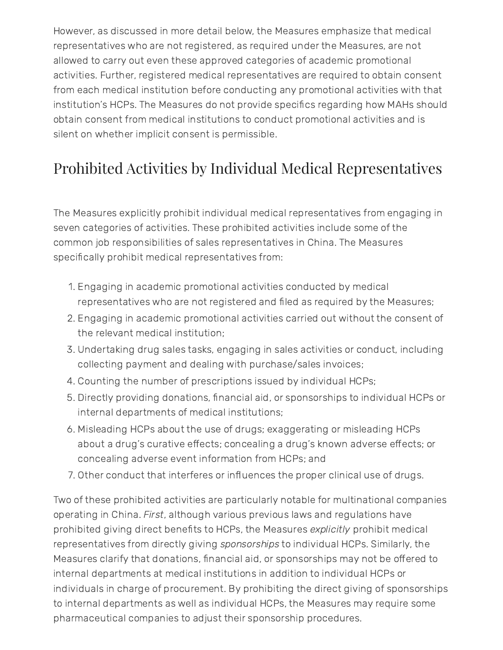However, as discussed in more detail below, the Measures emphasize that medical representatives who are not registered, as required under the Measures, are not allowed to carry out even these approved categories of academic promotional activities. Further, registered medical representatives are required to obtain consent from each medical institution before conducting any promotional activities with that institution's HCPs. The Measures do not provide specifics regarding how MAHs should obtain consent from medical institutions to conduct promotional activities and is silent on whether implicit consent is permissible.

### Prohibited Activities by Individual Medical Representatives

The Measures explicitly prohibit individual medical representatives from engaging in seven categories of activities. These prohibited activities include some of the common job responsibilities of sales representatives in China. The Measures specifically prohibit medical representatives from:

- 1. Engaging in academic promotional activities conducted by medical representatives who are not registered and filed as required by the Measures;
- 2. Engaging in academic promotional activities carried out without the consent of the relevant medical institution;
- 3. Undertaking drug sales tasks, engaging in sales activities or conduct, including collecting payment and dealing with purchase/sales invoices;
- 4. Counting the number of prescriptions issued by individual HCPs;
- 5. Directly providing donations, financial aid, or sponsorships to individual HCPs or internal departments of medical institutions;
- 6. Misleading HCPs about the use of drugs; exaggerating or misleading HCPs about a drug's curative effects; concealing a drug's known adverse effects; or concealing adverse event information from HCPs; and
- 7. Other conduct that interferes or influences the proper clinical use of drugs.

Two of these prohibited activities are particularly notable for multinational companies operating in China. First, although various previous laws and regulations have prohibited giving direct benefits to HCPs, the Measures explicitly prohibit medical representatives from directly giving sponsorships to individual HCPs. Similarly, the Measures clarify that donations, financial aid, or sponsorships may not be offered to internal departments at medical institutions in addition to individual HCPs or individuals in charge of procurement. By prohibiting the direct giving of sponsorships to internal departments as well as individual HCPs, the Measures may require some pharmaceutical companies to adjust their sponsorship procedures.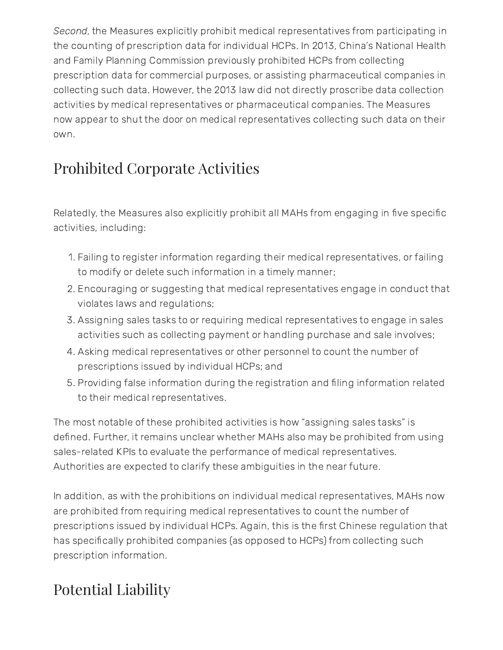Second, the Measures explicitly prohibit medical representatives from participating in the counting of prescription data for individual HCPs. In 2013, China's National Health and Family Planning Commission previously prohibited HCPs from collecting prescription data for commercial purposes, or assisting pharmaceutical companies in collecting such data. However, the 2013 law did not directly proscribe data collection activities by medical representatives or pharmaceutical companies. The Measures now appear to shut the door on medical representatives collecting such data on their own.

### Prohibited Corporate Activities

Relatedly, the Measures also explicitly prohibit all MAHs from engaging in five specific activities, including:

- 1. Failing to register information regarding their medical representatives, or failing to modify or delete such information in a timely manner;
- 2. Encouraging or suggesting that medical representatives engage in conduct that violates laws and regulations;
- 3. Assigning sales tasks to or requiring medical representatives to engage in sales activities such as collecting payment or handling purchase and sale involves;
- 4. Asking medical representatives or other personnel to count the number of prescriptions issued by individual HCPs; and
- 5. Providing false information during the registration and filing information related to their medical representatives.

The most notable of these prohibited activities is how "assigning sales tasks" is defined. Further, it remains unclear whether MAHs also may be prohibited from using sales-related KPIs to evaluate the performance of medical representatives. Authorities are expected to clarify these ambiguities in the near future.

In addition, as with the prohibitions on individual medical representatives, MAHs now are prohibited from requiring medical representatives to count the number of prescriptions issued by individual HCPs. Again, this is the first Chinese regulation that has specifically prohibited companies (as opposed to HCPs) from collecting such prescription information.

### Potential Liability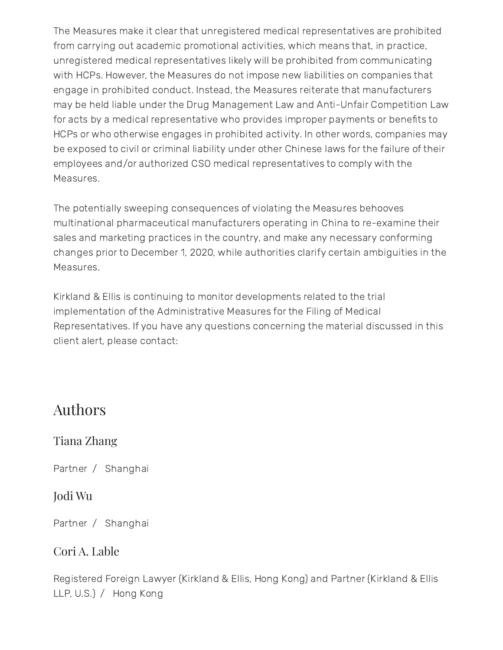The Measures make it clear that unregistered medical representatives are prohibited from carrying out academic promotional activities, which means that, in practice, unregistered medical representatives likely will be prohibited from communicating with HCPs. However, the Measures do not impose new liabilities on companies that engage in prohibited conduct. Instead, the Measures reiterate that manufacturers may be held liable under the Drug Management Law and Anti-Unfair Competition Law for acts by a medical representative who provides improper payments or benefits to HCPs or who otherwise engages in prohibited activity. In other words, companies may be exposed to civil or criminal liability under other Chinese laws for the failure of their employees and/or authorized CSO medical representatives to comply with the Measures.

The potentially sweeping consequences of violating the Measures behooves multinational pharmaceutical manufacturers operating in China to re-examine their sales and marketing practices in the country, and make any necessary conforming changes prior to December 1, 2020, while authorities clarify certain ambiguities in the Measures.

Kirkland & Ellis is continuing to monitor developments related to the trial implementation of the Administrative Measures for the Filing of Medical Representatives. If you have any questions concerning the material discussed in this client alert, please contact:

#### Authors

#### [Tiana Zhang](https://www.kirkland.com/lawyers/z/zhang-tiana)

Partner / [Shanghai](https://www.kirkland.com/offices/shanghai)

#### [Jodi Wu](https://www.kirkland.com/lawyers/w/wu-jodi)

Partner / [Shanghai](https://www.kirkland.com/offices/shanghai)

#### [Cori A. Lable](https://www.kirkland.com/lawyers/l/lable-cori-a)

Registered Foreign Lawyer (Kirkland & Ellis, Hong Kong) and Partner (Kirkland & Ellis LLP, U.S.) / [Hong Kong](https://www.kirkland.com/offices/hong-kong)